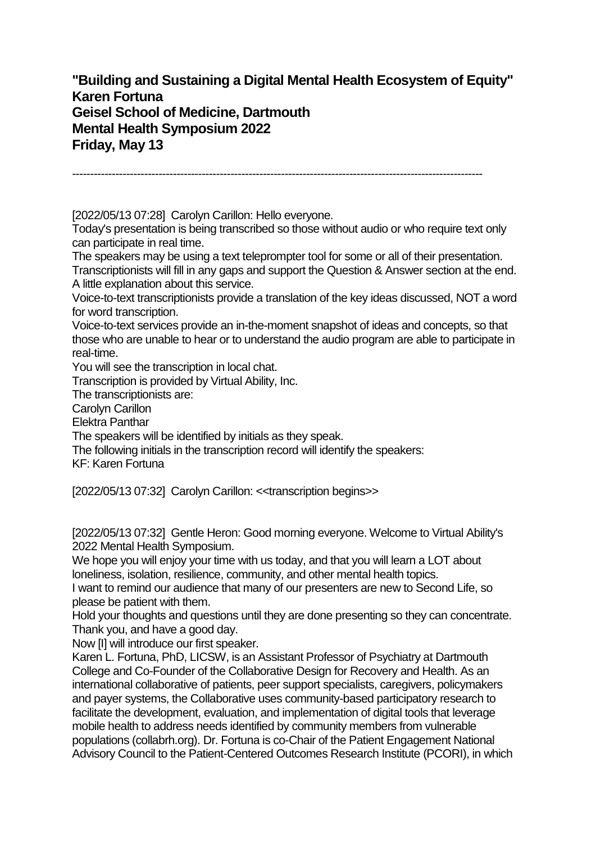**"Building and Sustaining a Digital Mental Health Ecosystem of Equity" Karen Fortuna Geisel School of Medicine, Dartmouth Mental Health Symposium 2022 Friday, May 13**

------------------------------------------------------------------------------------------------------------------

[2022/05/13 07:28] Carolyn Carillon: Hello everyone.

Today's presentation is being transcribed so those without audio or who require text only can participate in real time.

The speakers may be using a text teleprompter tool for some or all of their presentation. Transcriptionists will fill in any gaps and support the Question & Answer section at the end. A little explanation about this service.

Voice-to-text transcriptionists provide a translation of the key ideas discussed, NOT a word for word transcription.

Voice-to-text services provide an in-the-moment snapshot of ideas and concepts, so that those who are unable to hear or to understand the audio program are able to participate in real-time.

You will see the transcription in local chat.

Transcription is provided by Virtual Ability, Inc.

The transcriptionists are:

Carolyn Carillon

Elektra Panthar

The speakers will be identified by initials as they speak.

The following initials in the transcription record will identify the speakers:

KF: Karen Fortuna

[2022/05/13 07:32] Carolyn Carillon: <<transcription begins>>

[2022/05/13 07:32] Gentle Heron: Good morning everyone. Welcome to Virtual Ability's 2022 Mental Health Symposium.

We hope you will enjoy your time with us today, and that you will learn a LOT about loneliness, isolation, resilience, community, and other mental health topics.

I want to remind our audience that many of our presenters are new to Second Life, so please be patient with them.

Hold your thoughts and questions until they are done presenting so they can concentrate. Thank you, and have a good day.

Now [I] will introduce our first speaker.

Karen L. Fortuna, PhD, LICSW, is an Assistant Professor of Psychiatry at Dartmouth College and Co-Founder of the Collaborative Design for Recovery and Health. As an international collaborative of patients, peer support specialists, caregivers, policymakers and payer systems, the Collaborative uses community-based participatory research to facilitate the development, evaluation, and implementation of digital tools that leverage mobile health to address needs identified by community members from vulnerable populations (collabrh.org). Dr. Fortuna is co-Chair of the Patient Engagement National Advisory Council to the Patient-Centered Outcomes Research Institute (PCORI), in which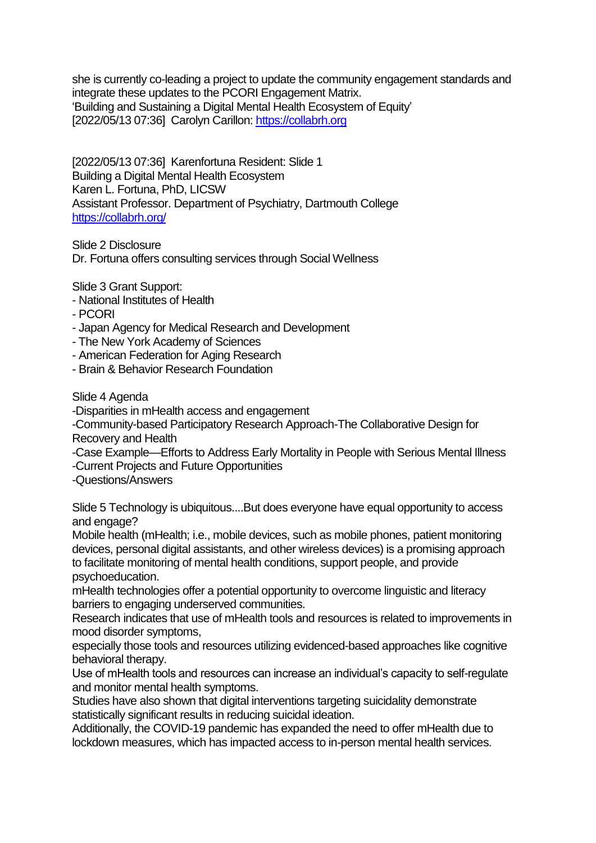she is currently co-leading a project to update the community engagement standards and integrate these updates to the PCORI Engagement Matrix. 'Building and Sustaining a Digital Mental Health Ecosystem of Equity' [2022/05/13 07:36] Carolyn Carillon[: https://collabrh.org](https://collabrh.org/)

[2022/05/13 07:36] Karenfortuna Resident: Slide 1 Building a Digital Mental Health Ecosystem Karen L. Fortuna, PhD, LICSW Assistant Professor. Department of Psychiatry, Dartmouth College <https://collabrh.org/>

Slide 2 Disclosure Dr. Fortuna offers consulting services through Social Wellness

Slide 3 Grant Support:

- National Institutes of Health
- PCORI
- Japan Agency for Medical Research and Development
- The New York Academy of Sciences
- American Federation for Aging Research
- Brain & Behavior Research Foundation

Slide 4 Agenda

-Disparities in mHealth access and engagement

-Community-based Participatory Research Approach-The Collaborative Design for Recovery and Health

-Case Example—Efforts to Address Early Mortality in People with Serious Mental Illness -Current Projects and Future Opportunities

-Questions/Answers

Slide 5 Technology is ubiquitous....But does everyone have equal opportunity to access and engage?

Mobile health (mHealth; i.e., mobile devices, such as mobile phones, patient monitoring devices, personal digital assistants, and other wireless devices) is a promising approach to facilitate monitoring of mental health conditions, support people, and provide psychoeducation.

mHealth technologies offer a potential opportunity to overcome linguistic and literacy barriers to engaging underserved communities.

Research indicates that use of mHealth tools and resources is related to improvements in mood disorder symptoms,

especially those tools and resources utilizing evidenced-based approaches like cognitive behavioral therapy.

Use of mHealth tools and resources can increase an individual's capacity to self-regulate and monitor mental health symptoms.

Studies have also shown that digital interventions targeting suicidality demonstrate statistically significant results in reducing suicidal ideation.

Additionally, the COVID-19 pandemic has expanded the need to offer mHealth due to lockdown measures, which has impacted access to in-person mental health services.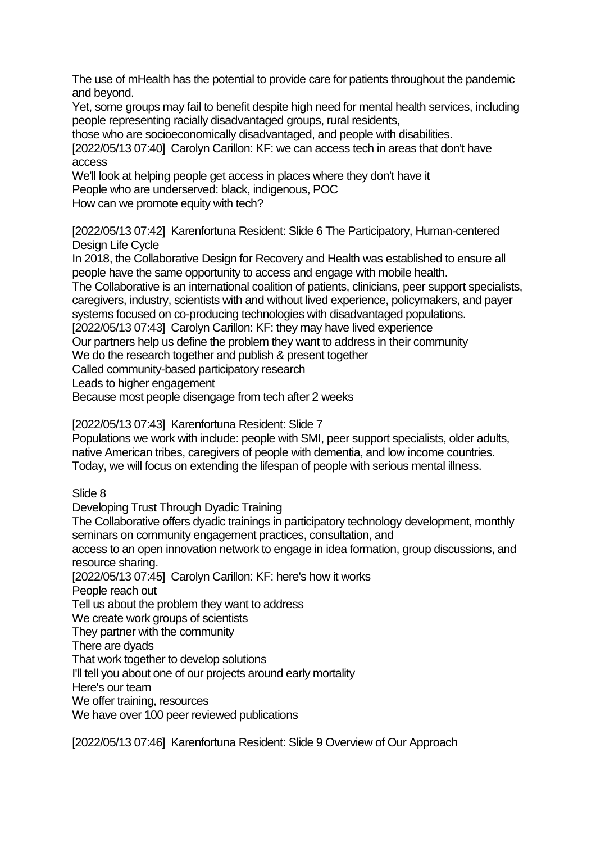The use of mHealth has the potential to provide care for patients throughout the pandemic and beyond.

Yet, some groups may fail to benefit despite high need for mental health services, including people representing racially disadvantaged groups, rural residents,

those who are socioeconomically disadvantaged, and people with disabilities.

[2022/05/13 07:40] Carolyn Carillon: KF: we can access tech in areas that don't have access

We'll look at helping people get access in places where they don't have it

People who are underserved: black, indigenous, POC

How can we promote equity with tech?

[2022/05/13 07:42] Karenfortuna Resident: Slide 6 The Participatory, Human-centered Design Life Cycle

In 2018, the Collaborative Design for Recovery and Health was established to ensure all people have the same opportunity to access and engage with mobile health.

The Collaborative is an international coalition of patients, clinicians, peer support specialists, caregivers, industry, scientists with and without lived experience, policymakers, and payer

systems focused on co-producing technologies with disadvantaged populations.

[2022/05/13 07:43] Carolyn Carillon: KF: they may have lived experience

Our partners help us define the problem they want to address in their community

We do the research together and publish & present together

Called community-based participatory research

Leads to higher engagement

Because most people disengage from tech after 2 weeks

[2022/05/13 07:43] Karenfortuna Resident: Slide 7

Populations we work with include: people with SMI, peer support specialists, older adults, native American tribes, caregivers of people with dementia, and low income countries. Today, we will focus on extending the lifespan of people with serious mental illness.

Slide 8

Developing Trust Through Dyadic Training

The Collaborative offers dyadic trainings in participatory technology development, monthly seminars on community engagement practices, consultation, and

access to an open innovation network to engage in idea formation, group discussions, and resource sharing.

[2022/05/13 07:45] Carolyn Carillon: KF: here's how it works

People reach out

Tell us about the problem they want to address

We create work groups of scientists

They partner with the community

There are dyads

That work together to develop solutions

I'll tell you about one of our projects around early mortality

Here's our team

We offer training, resources

We have over 100 peer reviewed publications

[2022/05/13 07:46] Karenfortuna Resident: Slide 9 Overview of Our Approach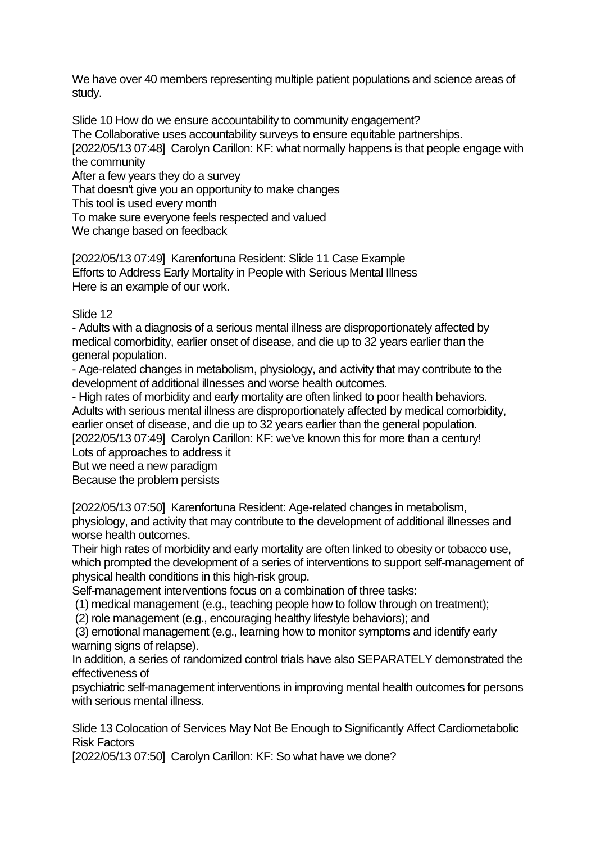We have over 40 members representing multiple patient populations and science areas of study.

Slide 10 How do we ensure accountability to community engagement? The Collaborative uses accountability surveys to ensure equitable partnerships. [2022/05/13 07:48] Carolyn Carillon: KF: what normally happens is that people engage with the community After a few years they do a survey

That doesn't give you an opportunity to make changes

This tool is used every month

To make sure everyone feels respected and valued

We change based on feedback

[2022/05/13 07:49] Karenfortuna Resident: Slide 11 Case Example Efforts to Address Early Mortality in People with Serious Mental Illness Here is an example of our work.

Slide 12

- Adults with a diagnosis of a serious mental illness are disproportionately affected by medical comorbidity, earlier onset of disease, and die up to 32 years earlier than the general population.

- Age-related changes in metabolism, physiology, and activity that may contribute to the development of additional illnesses and worse health outcomes.

- High rates of morbidity and early mortality are often linked to poor health behaviors. Adults with serious mental illness are disproportionately affected by medical comorbidity, earlier onset of disease, and die up to 32 years earlier than the general population.

[2022/05/13 07:49] Carolyn Carillon: KF: we've known this for more than a century! Lots of approaches to address it

But we need a new paradigm

Because the problem persists

[2022/05/13 07:50] Karenfortuna Resident: Age-related changes in metabolism, physiology, and activity that may contribute to the development of additional illnesses and worse health outcomes.

Their high rates of morbidity and early mortality are often linked to obesity or tobacco use, which prompted the development of a series of interventions to support self-management of physical health conditions in this high-risk group.

Self-management interventions focus on a combination of three tasks:

(1) medical management (e.g., teaching people how to follow through on treatment);

(2) role management (e.g., encouraging healthy lifestyle behaviors); and

(3) emotional management (e.g., learning how to monitor symptoms and identify early warning signs of relapse).

In addition, a series of randomized control trials have also SEPARATELY demonstrated the effectiveness of

psychiatric self-management interventions in improving mental health outcomes for persons with serious mental illness.

Slide 13 Colocation of Services May Not Be Enough to Significantly Affect Cardiometabolic Risk Factors

[2022/05/13 07:50] Carolyn Carillon: KF: So what have we done?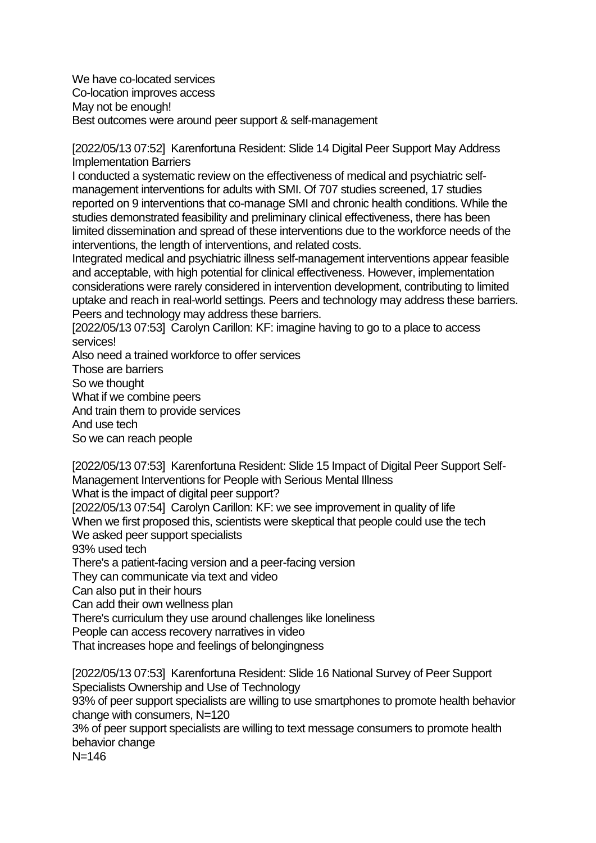We have co-located services Co-location improves access May not be enough! Best outcomes were around peer support & self-management

[2022/05/13 07:52] Karenfortuna Resident: Slide 14 Digital Peer Support May Address Implementation Barriers

I conducted a systematic review on the effectiveness of medical and psychiatric selfmanagement interventions for adults with SMI. Of 707 studies screened, 17 studies reported on 9 interventions that co-manage SMI and chronic health conditions. While the studies demonstrated feasibility and preliminary clinical effectiveness, there has been limited dissemination and spread of these interventions due to the workforce needs of the interventions, the length of interventions, and related costs.

Integrated medical and psychiatric illness self-management interventions appear feasible and acceptable, with high potential for clinical effectiveness. However, implementation considerations were rarely considered in intervention development, contributing to limited uptake and reach in real-world settings. Peers and technology may address these barriers. Peers and technology may address these barriers.

[2022/05/13 07:53] Carolyn Carillon: KF: imagine having to go to a place to access services!

Also need a trained workforce to offer services

Those are barriers

So we thought

What if we combine peers

And train them to provide services

And use tech

So we can reach people

[2022/05/13 07:53] Karenfortuna Resident: Slide 15 Impact of Digital Peer Support Self-Management Interventions for People with Serious Mental Illness

What is the impact of digital peer support?

[2022/05/13 07:54] Carolyn Carillon: KF: we see improvement in quality of life When we first proposed this, scientists were skeptical that people could use the tech We asked peer support specialists

93% used tech

There's a patient-facing version and a peer-facing version

They can communicate via text and video

Can also put in their hours

Can add their own wellness plan

There's curriculum they use around challenges like loneliness

People can access recovery narratives in video

That increases hope and feelings of belongingness

[2022/05/13 07:53] Karenfortuna Resident: Slide 16 National Survey of Peer Support Specialists Ownership and Use of Technology

93% of peer support specialists are willing to use smartphones to promote health behavior change with consumers, N=120

3% of peer support specialists are willing to text message consumers to promote health behavior change

 $N = 146$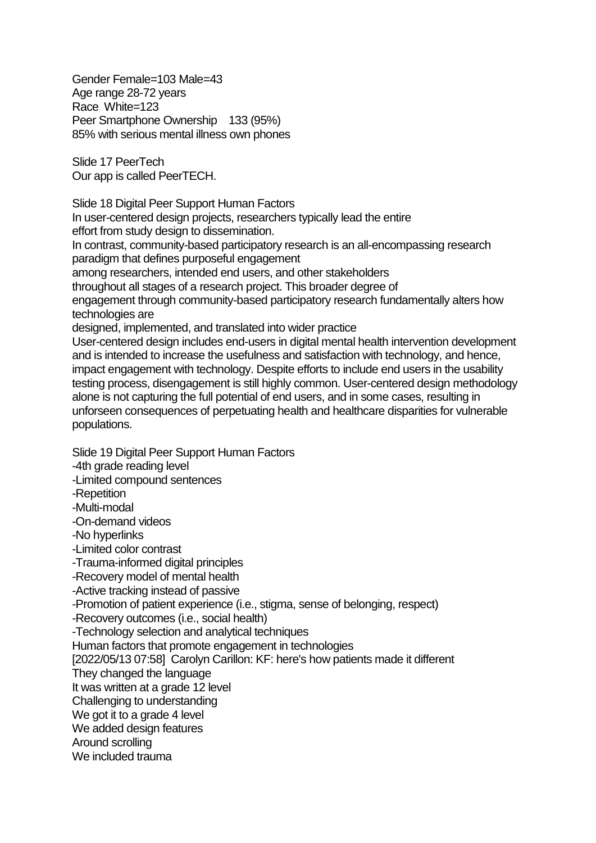Gender Female=103 Male=43 Age range 28-72 years Race White=123 Peer Smartphone Ownership 133 (95%) 85% with serious mental illness own phones

Slide 17 PeerTech Our app is called PeerTECH.

Slide 18 Digital Peer Support Human Factors In user-centered design projects, researchers typically lead the entire effort from study design to dissemination. In contrast, community-based participatory research is an all-encompassing research paradigm that defines purposeful engagement among researchers, intended end users, and other stakeholders throughout all stages of a research project. This broader degree of engagement through community-based participatory research fundamentally alters how technologies are designed, implemented, and translated into wider practice User-centered design includes end-users in digital mental health intervention development and is intended to increase the usefulness and satisfaction with technology, and hence, impact engagement with technology. Despite efforts to include end users in the usability testing process, disengagement is still highly common. User-centered design methodology alone is not capturing the full potential of end users, and in some cases, resulting in unforseen consequences of perpetuating health and healthcare disparities for vulnerable populations.

Slide 19 Digital Peer Support Human Factors -4th grade reading level -Limited compound sentences -Repetition -Multi-modal -On-demand videos -No hyperlinks -Limited color contrast -Trauma-informed digital principles -Recovery model of mental health -Active tracking instead of passive -Promotion of patient experience (i.e., stigma, sense of belonging, respect) -Recovery outcomes (i.e., social health) -Technology selection and analytical techniques Human factors that promote engagement in technologies [2022/05/13 07:58] Carolyn Carillon: KF: here's how patients made it different They changed the language It was written at a grade 12 level Challenging to understanding We got it to a grade 4 level We added design features Around scrolling We included trauma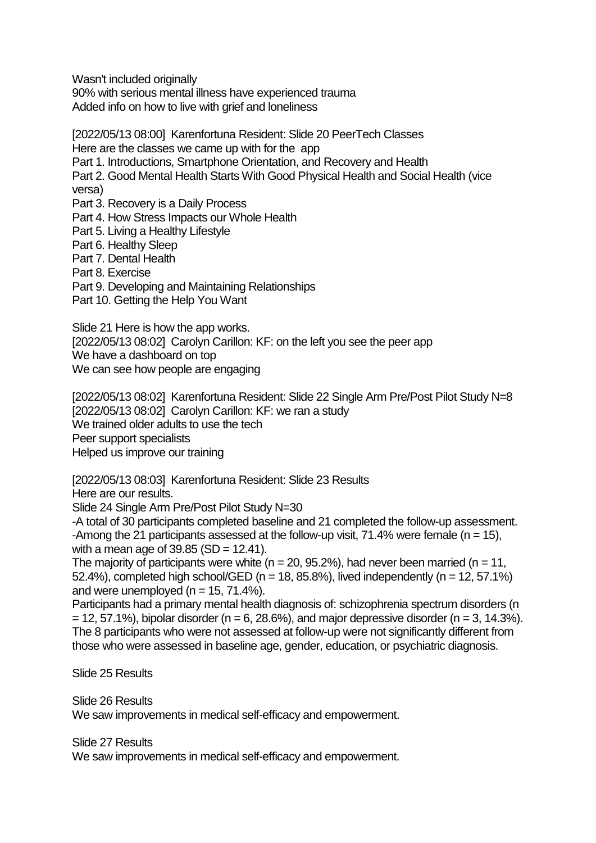Wasn't included originally

90% with serious mental illness have experienced trauma Added info on how to live with grief and loneliness

[2022/05/13 08:00] Karenfortuna Resident: Slide 20 PeerTech Classes Here are the classes we came up with for the app Part 1. Introductions, Smartphone Orientation, and Recovery and Health Part 2. Good Mental Health Starts With Good Physical Health and Social Health (vice versa) Part 3. Recovery is a Daily Process Part 4. How Stress Impacts our Whole Health Part 5. Living a Healthy Lifestyle Part 6. Healthy Sleep Part 7. Dental Health Part 8. Exercise Part 9. Developing and Maintaining Relationships

Part 10. Getting the Help You Want

Slide 21 Here is how the app works. [2022/05/13 08:02] Carolyn Carillon: KF: on the left you see the peer app We have a dashboard on top We can see how people are engaging

[2022/05/13 08:02] Karenfortuna Resident: Slide 22 Single Arm Pre/Post Pilot Study N=8 [2022/05/13 08:02] Carolyn Carillon: KF: we ran a study We trained older adults to use the tech Peer support specialists Helped us improve our training

[2022/05/13 08:03] Karenfortuna Resident: Slide 23 Results

Here are our results.

Slide 24 Single Arm Pre/Post Pilot Study N=30

-A total of 30 participants completed baseline and 21 completed the follow-up assessment. -Among the 21 participants assessed at the follow-up visit,  $71.4\%$  were female (n = 15), with a mean age of  $39.85$  (SD = 12.41).

The majority of participants were white ( $n = 20$ , 95.2%), had never been married ( $n = 11$ , 52.4%), completed high school/GED ( $n = 18$ , 85.8%), lived independently ( $n = 12, 57.1\%$ ) and were unemployed ( $n = 15$ , 71.4%).

Participants had a primary mental health diagnosis of: schizophrenia spectrum disorders (n  $= 12, 57.1\%$ ), bipolar disorder (n = 6, 28.6%), and major depressive disorder (n = 3, 14.3%). The 8 participants who were not assessed at follow-up were not significantly different from those who were assessed in baseline age, gender, education, or psychiatric diagnosis.

Slide 25 Results

Slide 26 Results

We saw improvements in medical self-efficacy and empowerment.

Slide 27 Results

We saw improvements in medical self-efficacy and empowerment.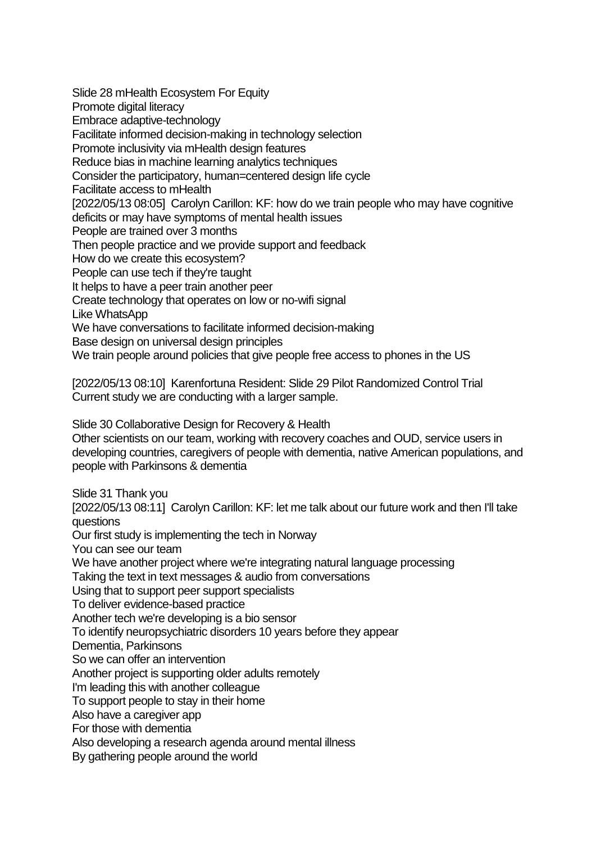Slide 28 mHealth Ecosystem For Equity Promote digital literacy Embrace adaptive-technology Facilitate informed decision-making in technology selection Promote inclusivity via mHealth design features Reduce bias in machine learning analytics techniques Consider the participatory, human=centered design life cycle Facilitate access to mHealth [2022/05/13 08:05] Carolyn Carillon: KF: how do we train people who may have cognitive deficits or may have symptoms of mental health issues People are trained over 3 months Then people practice and we provide support and feedback How do we create this ecosystem? People can use tech if they're taught It helps to have a peer train another peer Create technology that operates on low or no-wifi signal Like WhatsApp We have conversations to facilitate informed decision-making Base design on universal design principles We train people around policies that give people free access to phones in the US

[2022/05/13 08:10] Karenfortuna Resident: Slide 29 Pilot Randomized Control Trial Current study we are conducting with a larger sample.

Slide 30 Collaborative Design for Recovery & Health

Other scientists on our team, working with recovery coaches and OUD, service users in developing countries, caregivers of people with dementia, native American populations, and people with Parkinsons & dementia

Slide 31 Thank you

[2022/05/13 08:11] Carolyn Carillon: KF: let me talk about our future work and then I'll take questions

Our first study is implementing the tech in Norway

You can see our team

We have another project where we're integrating natural language processing

Taking the text in text messages & audio from conversations

Using that to support peer support specialists

To deliver evidence-based practice

Another tech we're developing is a bio sensor

To identify neuropsychiatric disorders 10 years before they appear

Dementia, Parkinsons

So we can offer an intervention

Another project is supporting older adults remotely

I'm leading this with another colleague

To support people to stay in their home

Also have a caregiver app

For those with dementia

Also developing a research agenda around mental illness

By gathering people around the world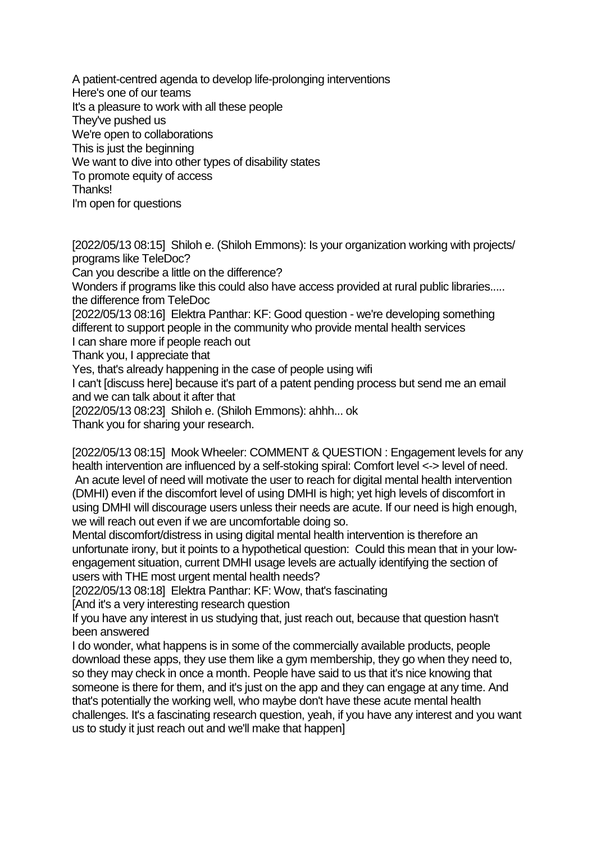A patient-centred agenda to develop life-prolonging interventions Here's one of our teams It's a pleasure to work with all these people They've pushed us We're open to collaborations This is just the beginning We want to dive into other types of disability states To promote equity of access Thanks! I'm open for questions

[2022/05/13 08:15] Shiloh e. (Shiloh Emmons): Is your organization working with projects/ programs like TeleDoc? Can you describe a little on the difference? Wonders if programs like this could also have access provided at rural public libraries..... the difference from TeleDoc [2022/05/13 08:16] Elektra Panthar: KF: Good question - we're developing something different to support people in the community who provide mental health services I can share more if people reach out Thank you, I appreciate that Yes, that's already happening in the case of people using wifi I can't [discuss here] because it's part of a patent pending process but send me an email and we can talk about it after that [2022/05/13 08:23] Shiloh e. (Shiloh Emmons): ahhh... ok

Thank you for sharing your research.

[2022/05/13 08:15] Mook Wheeler: COMMENT & QUESTION : Engagement levels for any health intervention are influenced by a self-stoking spiral: Comfort level <-> level of need. An acute level of need will motivate the user to reach for digital mental health intervention (DMHI) even if the discomfort level of using DMHI is high; yet high levels of discomfort in using DMHI will discourage users unless their needs are acute. If our need is high enough, we will reach out even if we are uncomfortable doing so.

Mental discomfort/distress in using digital mental health intervention is therefore an unfortunate irony, but it points to a hypothetical question: Could this mean that in your lowengagement situation, current DMHI usage levels are actually identifying the section of users with THE most urgent mental health needs?

[2022/05/13 08:18] Elektra Panthar: KF: Wow, that's fascinating

[And it's a very interesting research question

If you have any interest in us studying that, just reach out, because that question hasn't been answered

I do wonder, what happens is in some of the commercially available products, people download these apps, they use them like a gym membership, they go when they need to, so they may check in once a month. People have said to us that it's nice knowing that someone is there for them, and it's just on the app and they can engage at any time. And that's potentially the working well, who maybe don't have these acute mental health challenges. It's a fascinating research question, yeah, if you have any interest and you want us to study it just reach out and we'll make that happen]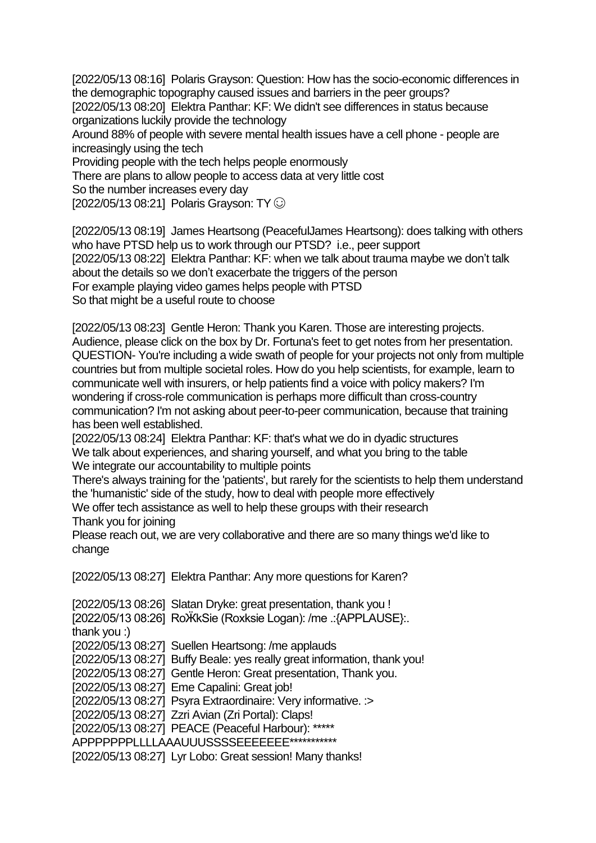[2022/05/13 08:16] Polaris Grayson: Question: How has the socio-economic differences in the demographic topography caused issues and barriers in the peer groups? [2022/05/13 08:20] Elektra Panthar: KF: We didn't see differences in status because organizations luckily provide the technology Around 88% of people with severe mental health issues have a cell phone - people are increasingly using the tech Providing people with the tech helps people enormously

There are plans to allow people to access data at very little cost

So the number increases every day

[2022/05/13 08:21] Polaris Grayson: TY  $\odot$ 

[2022/05/13 08:19] James Heartsong (PeacefulJames Heartsong): does talking with others who have PTSD help us to work through our PTSD? i.e., peer support [2022/05/13 08:22] Elektra Panthar: KF: when we talk about trauma maybe we don't talk about the details so we don't exacerbate the triggers of the person For example playing video games helps people with PTSD So that might be a useful route to choose

[2022/05/13 08:23] Gentle Heron: Thank you Karen. Those are interesting projects. Audience, please click on the box by Dr. Fortuna's feet to get notes from her presentation. QUESTION- You're including a wide swath of people for your projects not only from multiple countries but from multiple societal roles. How do you help scientists, for example, learn to communicate well with insurers, or help patients find a voice with policy makers? I'm wondering if cross-role communication is perhaps more difficult than cross-country communication? I'm not asking about peer-to-peer communication, because that training has been well established.

[2022/05/13 08:24] Elektra Panthar: KF: that's what we do in dyadic structures We talk about experiences, and sharing yourself, and what you bring to the table We integrate our accountability to multiple points

There's always training for the 'patients', but rarely for the scientists to help them understand the 'humanistic' side of the study, how to deal with people more effectively

We offer tech assistance as well to help these groups with their research Thank you for joining

Please reach out, we are very collaborative and there are so many things we'd like to change

[2022/05/13 08:27] Elektra Panthar: Any more questions for Karen?

[2022/05/13 08:26] Slatan Dryke: great presentation, thank you ! [2022/05/13 08:26] RoӜkSie (Roxksie Logan): /me .:{APPLAUSE}:. thank you :) [2022/05/13 08:27] Suellen Heartsong: /me applauds [2022/05/13 08:27] Buffy Beale: yes really great information, thank you! [2022/05/13 08:27] Gentle Heron: Great presentation, Thank you. [2022/05/13 08:27] Eme Capalini: Great job! [2022/05/13 08:27] Psyra Extraordinaire: Very informative. :> [2022/05/13 08:27] Zzri Avian (Zri Portal): Claps! [2022/05/13 08:27] PEACE (Peaceful Harbour): \*\*\*\*\* APPPPPPPPLLLLAAAUUUSSSSEEEEEEE\*\*\*\*\*\*\*\*\*\*\*\* [2022/05/13 08:27] Lyr Lobo: Great session! Many thanks!